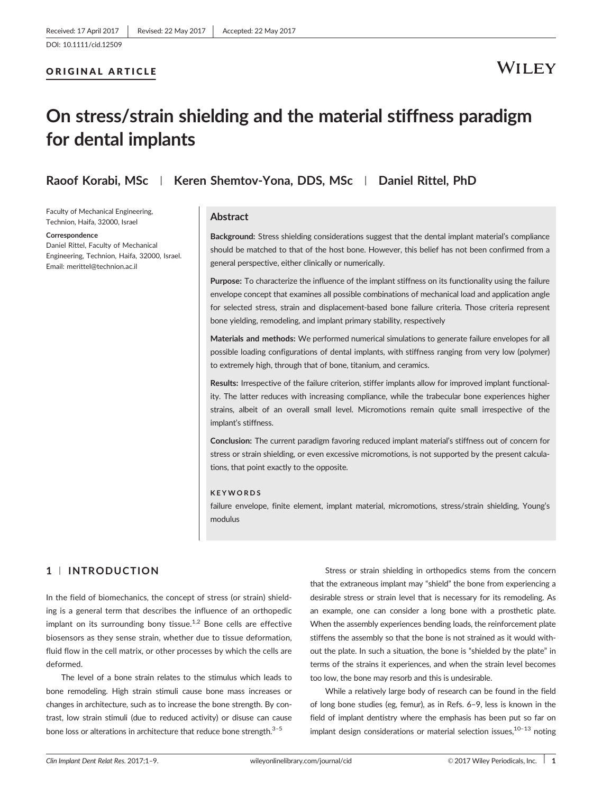## ORIGINAL ARTICLE

# WILEY

# On stress/strain shielding and the material stiffness paradigm for dental implants

Raoof Korabi, MSc <sup>|</sup> Keren Shemtov-Yona, DDS, MSc <sup>|</sup> Daniel Rittel, PhD

Faculty of Mechanical Engineering, Technion, Haifa, 32000, Israel

Correspondence

Daniel Rittel, Faculty of Mechanical Engineering, Technion, Haifa, 32000, Israel. Email: merittel@technion.ac.il

#### Abstract

Background: Stress shielding considerations suggest that the dental implant material's compliance should be matched to that of the host bone. However, this belief has not been confirmed from a general perspective, either clinically or numerically.

Purpose: To characterize the influence of the implant stiffness on its functionality using the failure envelope concept that examines all possible combinations of mechanical load and application angle for selected stress, strain and displacement-based bone failure criteria. Those criteria represent bone yielding, remodeling, and implant primary stability, respectively

Materials and methods: We performed numerical simulations to generate failure envelopes for all possible loading configurations of dental implants, with stiffness ranging from very low (polymer) to extremely high, through that of bone, titanium, and ceramics.

Results: Irrespective of the failure criterion, stiffer implants allow for improved implant functionality. The latter reduces with increasing compliance, while the trabecular bone experiences higher strains, albeit of an overall small level. Micromotions remain quite small irrespective of the implant's stiffness.

Conclusion: The current paradigm favoring reduced implant material's stiffness out of concern for stress or strain shielding, or even excessive micromotions, is not supported by the present calculations, that point exactly to the opposite.

#### **KEYWORDS**

failure envelope, finite element, implant material, micromotions, stress/strain shielding, Young's modulus

# 1 <sup>|</sup> INTRODUCTION

In the field of biomechanics, the concept of stress (or strain) shielding is a general term that describes the influence of an orthopedic implant on its surrounding bony tissue. $1.2$  Bone cells are effective biosensors as they sense strain, whether due to tissue deformation, fluid flow in the cell matrix, or other processes by which the cells are deformed.

The level of a bone strain relates to the stimulus which leads to bone remodeling. High strain stimuli cause bone mass increases or changes in architecture, such as to increase the bone strength. By contrast, low strain stimuli (due to reduced activity) or disuse can cause bone loss or alterations in architecture that reduce bone strength.<sup>3-5</sup>

Stress or strain shielding in orthopedics stems from the concern that the extraneous implant may "shield" the bone from experiencing a desirable stress or strain level that is necessary for its remodeling. As an example, one can consider a long bone with a prosthetic plate. When the assembly experiences bending loads, the reinforcement plate stiffens the assembly so that the bone is not strained as it would without the plate. In such a situation, the bone is "shielded by the plate" in terms of the strains it experiences, and when the strain level becomes too low, the bone may resorb and this is undesirable.

While a relatively large body of research can be found in the field of long bone studies (eg, femur), as in Refs. 6–9, less is known in the field of implant dentistry where the emphasis has been put so far on implant design considerations or material selection issues,  $10-13$  noting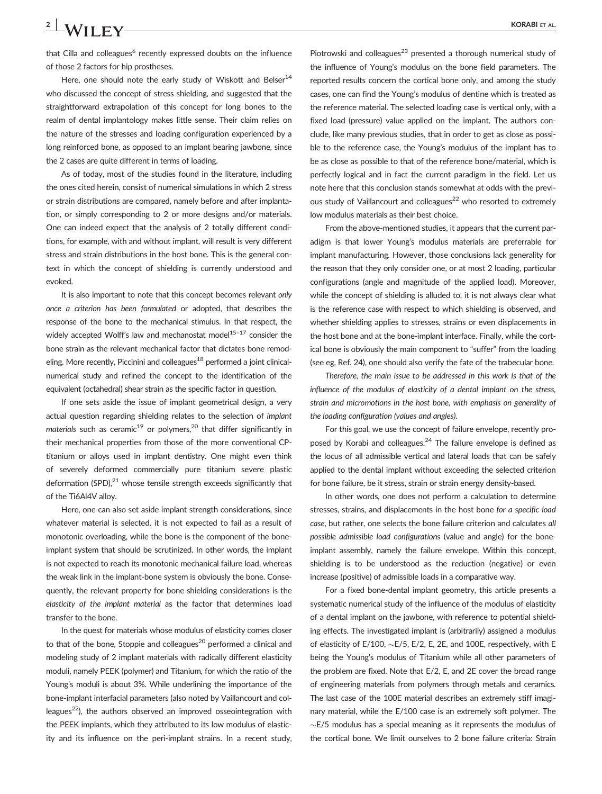that Cilla and colleagues<sup>6</sup> recently expressed doubts on the influence of those 2 factors for hip prostheses.

Here, one should note the early study of Wiskott and Belser<sup>14</sup> who discussed the concept of stress shielding, and suggested that the straightforward extrapolation of this concept for long bones to the realm of dental implantology makes little sense. Their claim relies on the nature of the stresses and loading configuration experienced by a long reinforced bone, as opposed to an implant bearing jawbone, since the 2 cases are quite different in terms of loading.

As of today, most of the studies found in the literature, including the ones cited herein, consist of numerical simulations in which 2 stress or strain distributions are compared, namely before and after implantation, or simply corresponding to 2 or more designs and/or materials. One can indeed expect that the analysis of 2 totally different conditions, for example, with and without implant, will result is very different stress and strain distributions in the host bone. This is the general context in which the concept of shielding is currently understood and evoked.

It is also important to note that this concept becomes relevant only once a criterion has been formulated or adopted, that describes the response of the bone to the mechanical stimulus. In that respect, the widely accepted Wolff's law and mechanostat model $15-17$  consider the bone strain as the relevant mechanical factor that dictates bone remodeling. More recently, Piccinini and colleagues<sup>18</sup> performed a joint clinicalnumerical study and refined the concept to the identification of the equivalent (octahedral) shear strain as the specific factor in question.

If one sets aside the issue of implant geometrical design, a very actual question regarding shielding relates to the selection of implant materials such as ceramic<sup>19</sup> or polymers,<sup>20</sup> that differ significantly in their mechanical properties from those of the more conventional CPtitanium or alloys used in implant dentistry. One might even think of severely deformed commercially pure titanium severe plastic deformation (SPD), $^{21}$  whose tensile strength exceeds significantly that of the Ti6Al4V alloy.

Here, one can also set aside implant strength considerations, since whatever material is selected, it is not expected to fail as a result of monotonic overloading, while the bone is the component of the boneimplant system that should be scrutinized. In other words, the implant is not expected to reach its monotonic mechanical failure load, whereas the weak link in the implant-bone system is obviously the bone. Consequently, the relevant property for bone shielding considerations is the elasticity of the implant material as the factor that determines load transfer to the bone.

In the quest for materials whose modulus of elasticity comes closer to that of the bone, Stoppie and colleagues<sup>20</sup> performed a clinical and modeling study of 2 implant materials with radically different elasticity moduli, namely PEEK (polymer) and Titanium, for which the ratio of the Young's moduli is about 3%. While underlining the importance of the bone-implant interfacial parameters (also noted by Vaillancourt and colleagues $^{22}$ ), the authors observed an improved osseointegration with the PEEK implants, which they attributed to its low modulus of elasticity and its influence on the peri-implant strains. In a recent study,

Piotrowski and colleagues<sup>23</sup> presented a thorough numerical study of the influence of Young's modulus on the bone field parameters. The reported results concern the cortical bone only, and among the study cases, one can find the Young's modulus of dentine which is treated as the reference material. The selected loading case is vertical only, with a fixed load (pressure) value applied on the implant. The authors conclude, like many previous studies, that in order to get as close as possible to the reference case, the Young's modulus of the implant has to be as close as possible to that of the reference bone/material, which is perfectly logical and in fact the current paradigm in the field. Let us note here that this conclusion stands somewhat at odds with the previous study of Vaillancourt and colleagues<sup>22</sup> who resorted to extremely low modulus materials as their best choice.

From the above-mentioned studies, it appears that the current paradigm is that lower Young's modulus materials are preferrable for implant manufacturing. However, those conclusions lack generality for the reason that they only consider one, or at most 2 loading, particular configurations (angle and magnitude of the applied load). Moreover, while the concept of shielding is alluded to, it is not always clear what is the reference case with respect to which shielding is observed, and whether shielding applies to stresses, strains or even displacements in the host bone and at the bone-implant interface. Finally, while the cortical bone is obviously the main component to "suffer" from the loading (see eg, Ref. 24), one should also verify the fate of the trabecular bone.

Therefore, the main issue to be addressed in this work is that of the influence of the modulus of elasticity of a dental implant on the stress, strain and micromotions in the host bone, with emphasis on generality of the loading configuration (values and angles).

For this goal, we use the concept of failure envelope, recently proposed by Korabi and colleagues.<sup>24</sup> The failure envelope is defined as the locus of all admissible vertical and lateral loads that can be safely applied to the dental implant without exceeding the selected criterion for bone failure, be it stress, strain or strain energy density-based.

In other words, one does not perform a calculation to determine stresses, strains, and displacements in the host bone for a specific load case, but rather, one selects the bone failure criterion and calculates all possible admissible load configurations (value and angle) for the boneimplant assembly, namely the failure envelope. Within this concept, shielding is to be understood as the reduction (negative) or even increase (positive) of admissible loads in a comparative way.

For a fixed bone-dental implant geometry, this article presents a systematic numerical study of the influence of the modulus of elasticity of a dental implant on the jawbone, with reference to potential shielding effects. The investigated implant is (arbitrarily) assigned a modulus of elasticity of E/100,  $\sim$ E/5, E/2, E, 2E, and 100E, respectively, with E being the Young's modulus of Titanium while all other parameters of the problem are fixed. Note that E/2, E, and 2E cover the broad range of engineering materials from polymers through metals and ceramics. The last case of the 100E material describes an extremely stiff imaginary material, while the E/100 case is an extremely soft polymer. The  $\sim$ E/5 modulus has a special meaning as it represents the modulus of the cortical bone. We limit ourselves to 2 bone failure criteria: Strain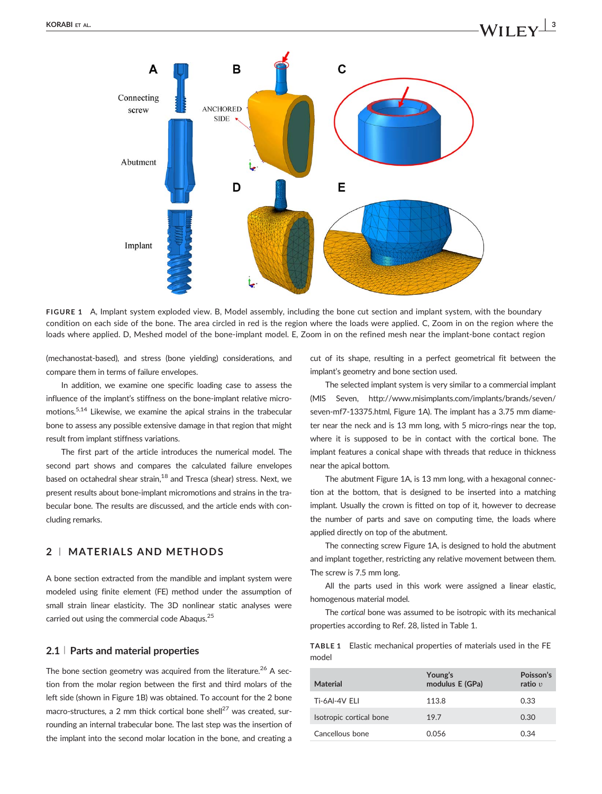

FIGURE 1 A, Implant system exploded view. B, Model assembly, including the bone cut section and implant system, with the boundary condition on each side of the bone. The area circled in red is the region where the loads were applied. C, Zoom in on the region where the loads where applied. D, Meshed model of the bone-implant model. E, Zoom in on the refined mesh near the implant-bone contact region

(mechanostat-based), and stress (bone yielding) considerations, and compare them in terms of failure envelopes.

In addition, we examine one specific loading case to assess the influence of the implant's stiffness on the bone-implant relative micromotions.<sup>5,14</sup> Likewise, we examine the apical strains in the trabecular bone to assess any possible extensive damage in that region that might result from implant stiffness variations.

The first part of the article introduces the numerical model. The second part shows and compares the calculated failure envelopes based on octahedral shear strain,<sup>18</sup> and Tresca (shear) stress. Next, we present results about bone-implant micromotions and strains in the trabecular bone. The results are discussed, and the article ends with concluding remarks.

# 2 <sup>|</sup> MATERIALS AND METHODS

A bone section extracted from the mandible and implant system were modeled using finite element (FE) method under the assumption of small strain linear elasticity. The 3D nonlinear static analyses were carried out using the commercial code Abaqus.<sup>25</sup>

### 2.1 | Parts and material properties

The bone section geometry was acquired from the literature.<sup>26</sup> A section from the molar region between the first and third molars of the left side (shown in Figure 1B) was obtained. To account for the 2 bone macro-structures, a 2 mm thick cortical bone shell<sup>27</sup> was created, surrounding an internal trabecular bone. The last step was the insertion of the implant into the second molar location in the bone, and creating a cut of its shape, resulting in a perfect geometrical fit between the implant's geometry and bone section used.

The selected implant system is very similar to a commercial implant (MIS Seven, [http://www.misimplants.com/implants/brands/seven/](http://www.misimplants.com/implants/brands/seven/seven-mf7-13375.html) [seven-mf7-13375.html](http://www.misimplants.com/implants/brands/seven/seven-mf7-13375.html), Figure 1A). The implant has a 3.75 mm diameter near the neck and is 13 mm long, with 5 micro-rings near the top, where it is supposed to be in contact with the cortical bone. The implant features a conical shape with threads that reduce in thickness near the apical bottom.

The abutment Figure 1A, is 13 mm long, with a hexagonal connection at the bottom, that is designed to be inserted into a matching implant. Usually the crown is fitted on top of it, however to decrease the number of parts and save on computing time, the loads where applied directly on top of the abutment.

The connecting screw Figure 1A, is designed to hold the abutment and implant together, restricting any relative movement between them. The screw is 7.5 mm long.

All the parts used in this work were assigned a linear elastic, homogenous material model.

The cortical bone was assumed to be isotropic with its mechanical properties according to Ref. 28, listed in Table 1.

TABLE 1 Elastic mechanical properties of materials used in the FE model

| Material                | Young's<br>modulus E (GPa) | Poisson's<br>ratio $v$ |
|-------------------------|----------------------------|------------------------|
| <b>Ti-6AI-4V FLL</b>    | 113.8                      | 0.33                   |
| Isotropic cortical bone | 19.7                       | 0.30                   |
| Cancellous bone         | 0.056                      | 0.34                   |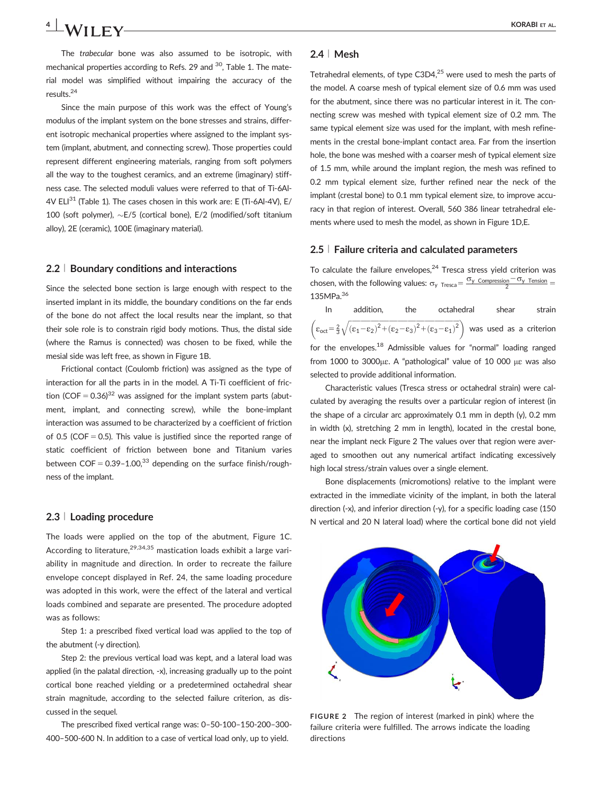# $4 \overline{\text{M}}$  if  $\text{FV}$   $\text{KORABI ET AL.}$

The trabecular bone was also assumed to be isotropic, with mechanical properties according to Refs. 29 and <sup>30</sup>, Table 1. The material model was simplified without impairing the accuracy of the results.<sup>24</sup>

Since the main purpose of this work was the effect of Young's modulus of the implant system on the bone stresses and strains, different isotropic mechanical properties where assigned to the implant system (implant, abutment, and connecting screw). Those properties could represent different engineering materials, ranging from soft polymers all the way to the toughest ceramics, and an extreme (imaginary) stiffness case. The selected moduli values were referred to that of Ti-6Al-4V ELI $^{31}$  (Table 1). The cases chosen in this work are: E (Ti-6AI-4V), E/ 100 (soft polymer),  $\sim$ E/5 (cortical bone), E/2 (modified/soft titanium alloy), 2E (ceramic), 100E (imaginary material).

#### 2.2 <sup>|</sup> Boundary conditions and interactions

Since the selected bone section is large enough with respect to the inserted implant in its middle, the boundary conditions on the far ends of the bone do not affect the local results near the implant, so that their sole role is to constrain rigid body motions. Thus, the distal side (where the Ramus is connected) was chosen to be fixed, while the mesial side was left free, as shown in Figure 1B.

Frictional contact (Coulomb friction) was assigned as the type of interaction for all the parts in in the model. A Ti-Ti coefficient of friction (COF =  $0.36$ )<sup>32</sup> was assigned for the implant system parts (abutment, implant, and connecting screw), while the bone-implant interaction was assumed to be characterized by a coefficient of friction of 0.5 (COF = 0.5). This value is justified since the reported range of static coefficient of friction between bone and Titanium varies between COF =  $0.39$ – $1.00$ ,<sup>33</sup> depending on the surface finish/roughness of the implant.

#### 2.3 <sup>|</sup> Loading procedure

The loads were applied on the top of the abutment, Figure 1C. According to literature,  $29,34,35$  mastication loads exhibit a large variability in magnitude and direction. In order to recreate the failure envelope concept displayed in Ref. 24, the same loading procedure was adopted in this work, were the effect of the lateral and vertical loads combined and separate are presented. The procedure adopted was as follows:

Step 1: a prescribed fixed vertical load was applied to the top of the abutment (-y direction).

Step 2: the previous vertical load was kept, and a lateral load was applied (in the palatal direction, -x), increasing gradually up to the point cortical bone reached yielding or a predetermined octahedral shear strain magnitude, according to the selected failure criterion, as discussed in the sequel.

The prescribed fixed vertical range was: 0–50-100–150-200–300- 400–500-600 N. In addition to a case of vertical load only, up to yield.

#### 2.4 <sup>|</sup> Mesh

Tetrahedral elements, of type C3D4, $25$  were used to mesh the parts of the model. A coarse mesh of typical element size of 0.6 mm was used for the abutment, since there was no particular interest in it. The connecting screw was meshed with typical element size of 0.2 mm. The same typical element size was used for the implant, with mesh refinements in the crestal bone-implant contact area. Far from the insertion hole, the bone was meshed with a coarser mesh of typical element size of 1.5 mm, while around the implant region, the mesh was refined to 0.2 mm typical element size, further refined near the neck of the implant (crestal bone) to 0.1 mm typical element size, to improve accuracy in that region of interest. Overall, 560 386 linear tetrahedral elements where used to mesh the model, as shown in Figure 1D,E.

#### 2.5 <sup>|</sup> Failure criteria and calculated parameters

To calculate the failure envelopes, $^{24}$  Tresca stress yield criterion was chosen, with the following values:  $\sigma_{y\{Tresca}} = \frac{\sigma_{y\{Compressin}} - \sigma_{y\{Tension}}}{2}$ 135MPa.36

In addition, the octahedral shear strain  $\left(\epsilon_{\text{oct}} = \frac{2}{3}\sqrt{(\epsilon_1-\epsilon_2)^2+(\epsilon_2-\epsilon_3)^2+(\epsilon_3-\epsilon_1)^2}\right)$  was used as a criterion for the envelopes.<sup>18</sup> Admissible values for "normal" loading ranged from 1000 to 3000 $\mu$ e. A "pathological" value of 10 000  $\mu$ e was also selected to provide additional information.

Characteristic values (Tresca stress or octahedral strain) were calculated by averaging the results over a particular region of interest (in the shape of a circular arc approximately 0.1 mm in depth (y), 0.2 mm in width (x), stretching 2 mm in length), located in the crestal bone, near the implant neck Figure 2 The values over that region were averaged to smoothen out any numerical artifact indicating excessively high local stress/strain values over a single element.

Bone displacements (micromotions) relative to the implant were extracted in the immediate vicinity of the implant, in both the lateral direction (-x), and inferior direction (-y), for a specific loading case (150 N vertical and 20 N lateral load) where the cortical bone did not yield



FIGURE 2 The region of interest (marked in pink) where the failure criteria were fulfilled. The arrows indicate the loading directions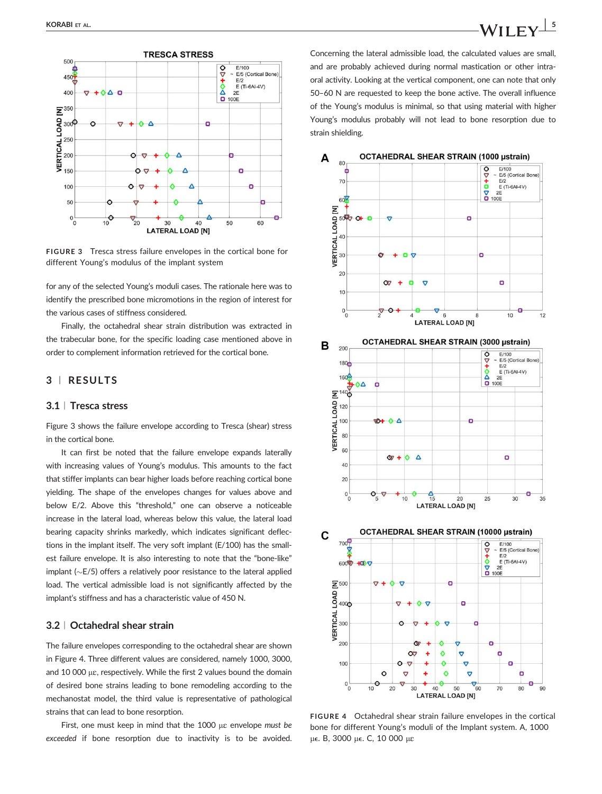

FIGURE 3 Tresca stress failure envelopes in the cortical bone for different Young's modulus of the implant system

for any of the selected Young's moduli cases. The rationale here was to identify the prescribed bone micromotions in the region of interest for the various cases of stiffness considered.

Finally, the octahedral shear strain distribution was extracted in the trabecular bone, for the specific loading case mentioned above in order to complement information retrieved for the cortical bone.

# 3 <sup>|</sup> RESULTS

#### 3.1 <sup>|</sup> Tresca stress

Figure 3 shows the failure envelope according to Tresca (shear) stress in the cortical bone.

It can first be noted that the failure envelope expands laterally with increasing values of Young's modulus. This amounts to the fact that stiffer implants can bear higher loads before reaching cortical bone yielding. The shape of the envelopes changes for values above and below E/2. Above this "threshold," one can observe a noticeable increase in the lateral load, whereas below this value, the lateral load bearing capacity shrinks markedly, which indicates significant deflections in the implant itself. The very soft implant (E/100) has the smallest failure envelope. It is also interesting to note that the "bone-like" implant ( $\sim$ E/5) offers a relatively poor resistance to the lateral applied load. The vertical admissible load is not significantly affected by the implant's stiffness and has a characteristic value of 450 N.

### 3.2 <sup>|</sup> Octahedral shear strain

The failure envelopes corresponding to the octahedral shear are shown in Figure 4. Three different values are considered, namely 1000, 3000, and 10 000  $\mu$ e, respectively. While the first 2 values bound the domain of desired bone strains leading to bone remodeling according to the mechanostat model, the third value is representative of pathological strains that can lead to bone resorption.

First, one must keep in mind that the 1000  $\mu$  envelope must be exceeded if bone resorption due to inactivity is to be avoided.

Concerning the lateral admissible load, the calculated values are small, and are probably achieved during normal mastication or other intraoral activity. Looking at the vertical component, one can note that only 50–60 N are requested to keep the bone active. The overall influence of the Young's modulus is minimal, so that using material with higher Young's modulus probably will not lead to bone resorption due to strain shielding.



FIGURE 4 Octahedral shear strain failure envelopes in the cortical bone for different Young's moduli of the Implant system. A, 1000 με. Β, 3000 με. C, 10 000 με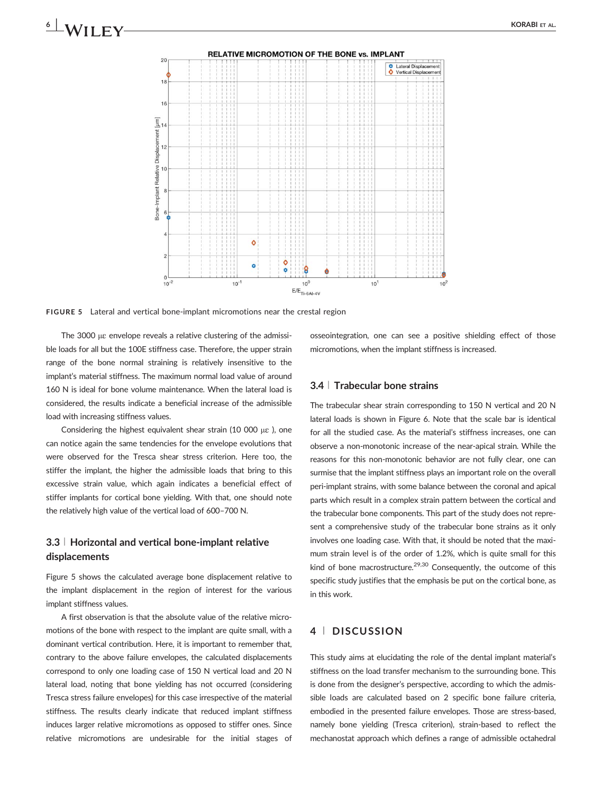

FIGURE 5 Lateral and vertical bone-implant micromotions near the crestal region

The  $3000 \mu \varepsilon$  envelope reveals a relative clustering of the admissible loads for all but the 100E stiffness case. Therefore, the upper strain range of the bone normal straining is relatively insensitive to the implant's material stiffness. The maximum normal load value of around 160 N is ideal for bone volume maintenance. When the lateral load is considered, the results indicate a beneficial increase of the admissible load with increasing stiffness values.

Considering the highest equivalent shear strain (10 000  $\mu$ c), one can notice again the same tendencies for the envelope evolutions that were observed for the Tresca shear stress criterion. Here too, the stiffer the implant, the higher the admissible loads that bring to this excessive strain value, which again indicates a beneficial effect of stiffer implants for cortical bone yielding. With that, one should note the relatively high value of the vertical load of 600–700 N.

# 3.3 <sup>|</sup> Horizontal and vertical bone-implant relative displacements

Figure 5 shows the calculated average bone displacement relative to the implant displacement in the region of interest for the various implant stiffness values.

A first observation is that the absolute value of the relative micromotions of the bone with respect to the implant are quite small, with a dominant vertical contribution. Here, it is important to remember that, contrary to the above failure envelopes, the calculated displacements correspond to only one loading case of 150 N vertical load and 20 N lateral load, noting that bone yielding has not occurred (considering Tresca stress failure envelopes) for this case irrespective of the material stiffness. The results clearly indicate that reduced implant stiffness induces larger relative micromotions as opposed to stiffer ones. Since relative micromotions are undesirable for the initial stages of osseointegration, one can see a positive shielding effect of those micromotions, when the implant stiffness is increased.

### 3.4 <sup>|</sup> Trabecular bone strains

The trabecular shear strain corresponding to 150 N vertical and 20 N lateral loads is shown in Figure 6. Note that the scale bar is identical for all the studied case. As the material's stiffness increases, one can observe a non-monotonic increase of the near-apical strain. While the reasons for this non-monotonic behavior are not fully clear, one can surmise that the implant stiffness plays an important role on the overall peri-implant strains, with some balance between the coronal and apical parts which result in a complex strain pattern between the cortical and the trabecular bone components. This part of the study does not represent a comprehensive study of the trabecular bone strains as it only involves one loading case. With that, it should be noted that the maximum strain level is of the order of 1.2%, which is quite small for this kind of bone macrostructure.<sup>29,30</sup> Consequently, the outcome of this specific study justifies that the emphasis be put on the cortical bone, as in this work.

## 4 <sup>|</sup> DISCUSSION

This study aims at elucidating the role of the dental implant material's stiffness on the load transfer mechanism to the surrounding bone. This is done from the designer's perspective, according to which the admissible loads are calculated based on 2 specific bone failure criteria, embodied in the presented failure envelopes. Those are stress-based, namely bone yielding (Tresca criterion), strain-based to reflect the mechanostat approach which defines a range of admissible octahedral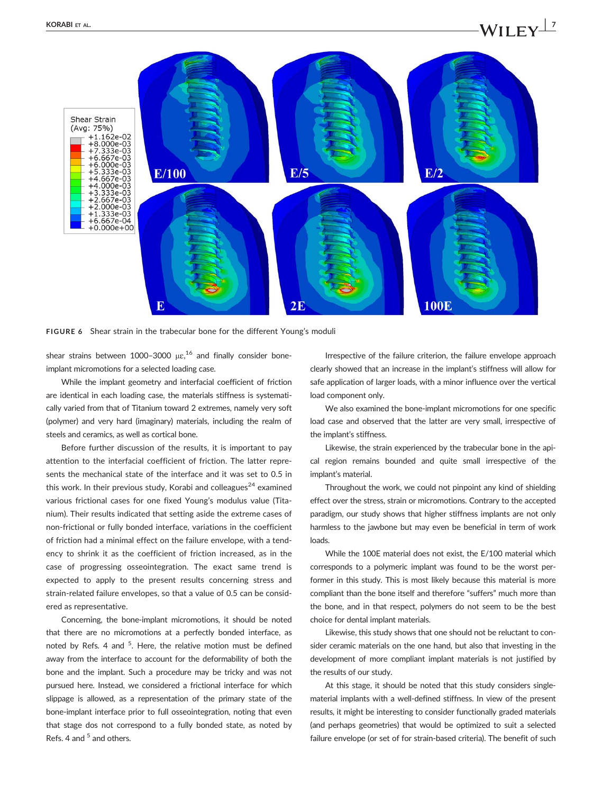# KORABI ET AL.  $\blacksquare$





FIGURE 6 Shear strain in the trabecular bone for the different Young's moduli

shear strains between 1000-3000  $\mu$ e,<sup>16</sup> and finally consider boneimplant micromotions for a selected loading case.

While the implant geometry and interfacial coefficient of friction are identical in each loading case, the materials stiffness is systematically varied from that of Titanium toward 2 extremes, namely very soft (polymer) and very hard (imaginary) materials, including the realm of steels and ceramics, as well as cortical bone.

Before further discussion of the results, it is important to pay attention to the interfacial coefficient of friction. The latter represents the mechanical state of the interface and it was set to 0.5 in this work. In their previous study, Korabi and colleagues<sup>24</sup> examined various frictional cases for one fixed Young's modulus value (Titanium). Their results indicated that setting aside the extreme cases of non-frictional or fully bonded interface, variations in the coefficient of friction had a minimal effect on the failure envelope, with a tendency to shrink it as the coefficient of friction increased, as in the case of progressing osseointegration. The exact same trend is expected to apply to the present results concerning stress and strain-related failure envelopes, so that a value of 0.5 can be considered as representative.

Concerning, the bone-implant micromotions, it should be noted that there are no micromotions at a perfectly bonded interface, as noted by Refs. 4 and <sup>5</sup>. Here, the relative motion must be defined away from the interface to account for the deformability of both the bone and the implant. Such a procedure may be tricky and was not pursued here. Instead, we considered a frictional interface for which slippage is allowed, as a representation of the primary state of the bone-implant interface prior to full osseointegration, noting that even that stage dos not correspond to a fully bonded state, as noted by Refs. 4 and  $5$  and others.

Irrespective of the failure criterion, the failure envelope approach clearly showed that an increase in the implant's stiffness will allow for safe application of larger loads, with a minor influence over the vertical load component only.

We also examined the bone-implant micromotions for one specific load case and observed that the latter are very small, irrespective of the implant's stiffness.

Likewise, the strain experienced by the trabecular bone in the apical region remains bounded and quite small irrespective of the implant's material.

Throughout the work, we could not pinpoint any kind of shielding effect over the stress, strain or micromotions. Contrary to the accepted paradigm, our study shows that higher stiffness implants are not only harmless to the jawbone but may even be beneficial in term of work loads.

While the 100E material does not exist, the E/100 material which corresponds to a polymeric implant was found to be the worst performer in this study. This is most likely because this material is more compliant than the bone itself and therefore "suffers" much more than the bone, and in that respect, polymers do not seem to be the best choice for dental implant materials.

Likewise, this study shows that one should not be reluctant to consider ceramic materials on the one hand, but also that investing in the development of more compliant implant materials is not justified by the results of our study.

At this stage, it should be noted that this study considers singlematerial implants with a well-defined stiffness. In view of the present results, it might be interesting to consider functionally graded materials (and perhaps geometries) that would be optimized to suit a selected failure envelope (or set of for strain-based criteria). The benefit of such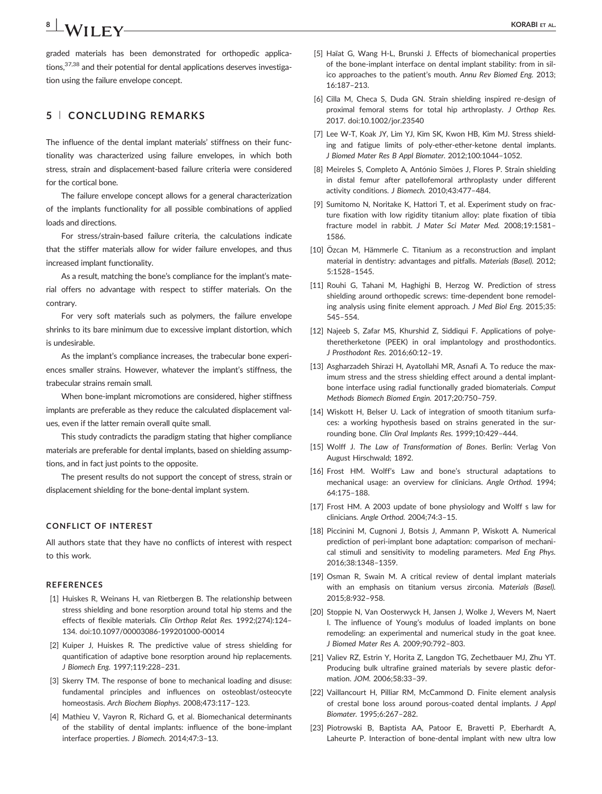# $8$   $\times$  KORABI ET AL.

graded materials has been demonstrated for orthopedic applications, 37,38 and their potential for dental applications deserves investigation using the failure envelope concept.

# 5 <sup>|</sup> CONCLUDING REMARKS

The influence of the dental implant materials' stiffness on their functionality was characterized using failure envelopes, in which both stress, strain and displacement-based failure criteria were considered for the cortical bone.

The failure envelope concept allows for a general characterization of the implants functionality for all possible combinations of applied loads and directions.

For stress/strain-based failure criteria, the calculations indicate that the stiffer materials allow for wider failure envelopes, and thus increased implant functionality.

As a result, matching the bone's compliance for the implant's material offers no advantage with respect to stiffer materials. On the contrary.

For very soft materials such as polymers, the failure envelope shrinks to its bare minimum due to excessive implant distortion, which is undesirable.

As the implant's compliance increases, the trabecular bone experiences smaller strains. However, whatever the implant's stiffness, the trabecular strains remain small.

When bone-implant micromotions are considered, higher stiffness implants are preferable as they reduce the calculated displacement values, even if the latter remain overall quite small.

This study contradicts the paradigm stating that higher compliance materials are preferable for dental implants, based on shielding assumptions, and in fact just points to the opposite.

The present results do not support the concept of stress, strain or displacement shielding for the bone-dental implant system.

#### CONFLICT OF INTEREST

All authors state that they have no conflicts of interest with respect to this work.

#### REFERENCES

- [1] Huiskes R, Weinans H, van Rietbergen B. The relationship between stress shielding and bone resorption around total hip stems and the effects of flexible materials. Clin Orthop Relat Res. 1992;(274):124– 134. doi:[10.1097/00003086-199201000-00014](info:doi/10.1097/00003086-199201000-00014)
- [2] Kuiper J, Huiskes R. The predictive value of stress shielding for quantification of adaptive bone resorption around hip replacements. J Biomech Eng. 1997;119:228–231.
- [3] Skerry TM. The response of bone to mechanical loading and disuse: fundamental principles and influences on osteoblast/osteocyte homeostasis. Arch Biochem Biophys. 2008;473:117–123.
- [4] Mathieu V, Vayron R, Richard G, et al. Biomechanical determinants of the stability of dental implants: influence of the bone-implant interface properties. J Biomech. 2014;47:3–13.
- [5] Haïat G, Wang H-L, Brunski J. Effects of biomechanical properties of the bone-implant interface on dental implant stability: from in silico approaches to the patient's mouth. Annu Rev Biomed Eng. 2013; 16:187–213.
- [6] Cilla M, Checa S, Duda GN. Strain shielding inspired re-design of proximal femoral stems for total hip arthroplasty. J Orthop Res. 2017. doi[:10.1002/jor.23540](info:doi/10.1002/jor.23540)
- [7] Lee W-T, Koak JY, Lim YJ, Kim SK, Kwon HB, Kim MJ. Stress shielding and fatigue limits of poly-ether-ether-ketone dental implants. J Biomed Mater Res B Appl Biomater. 2012;100:1044–1052.
- [8] Meireles S, Completo A, António Simões J, Flores P. Strain shielding in distal femur after patellofemoral arthroplasty under different activity conditions. J Biomech. 2010;43:477–484.
- [9] Sumitomo N, Noritake K, Hattori T, et al. Experiment study on fracture fixation with low rigidity titanium alloy: plate fixation of tibia fracture model in rabbit. J Mater Sci Mater Med. 2008;19:1581– 1586.
- [10] Özcan M, Hämmerle C. Titanium as a reconstruction and implant material in dentistry: advantages and pitfalls. Materials (Basel). 2012; 5:1528–1545.
- [11] Rouhi G, Tahani M, Haghighi B, Herzog W. Prediction of stress shielding around orthopedic screws: time-dependent bone remodeling analysis using finite element approach. J Med Biol Eng. 2015;35: 545–554.
- [12] Najeeb S, Zafar MS, Khurshid Z, Siddiqui F. Applications of polyetheretherketone (PEEK) in oral implantology and prosthodontics. J Prosthodont Res. 2016;60:12–19.
- [13] Asgharzadeh Shirazi H, Ayatollahi MR, Asnafi A. To reduce the maximum stress and the stress shielding effect around a dental implantbone interface using radial functionally graded biomaterials. Comput Methods Biomech Biomed Engin. 2017;20:750–759.
- [14] Wiskott H, Belser U. Lack of integration of smooth titanium surfaces: a working hypothesis based on strains generated in the surrounding bone. Clin Oral Implants Res. 1999;10:429–444.
- [15] Wolff J. The Law of Transformation of Bones. Berlin: Verlag Von August Hirschwald; 1892.
- [16] Frost HM. Wolff's Law and bone's structural adaptations to mechanical usage: an overview for clinicians. Angle Orthod. 1994; 64:175–188.
- [17] Frost HM. A 2003 update of bone physiology and Wolff s law for clinicians. Angle Orthod. 2004;74:3–15.
- [18] Piccinini M, Cugnoni J, Botsis J, Ammann P, Wiskott A. Numerical prediction of peri-implant bone adaptation: comparison of mechanical stimuli and sensitivity to modeling parameters. Med Eng Phys. 2016;38:1348–1359.
- [19] Osman R, Swain M. A critical review of dental implant materials with an emphasis on titanium versus zirconia. Materials (Basel). 2015;8:932–958.
- [20] Stoppie N, Van Oosterwyck H, Jansen J, Wolke J, Wevers M, Naert I. The influence of Young's modulus of loaded implants on bone remodeling: an experimental and numerical study in the goat knee. J Biomed Mater Res A. 2009;90:792–803.
- [21] Valiev RZ, Estrin Y, Horita Z, Langdon TG, Zechetbauer MJ, Zhu YT. Producing bulk ultrafine grained materials by severe plastic deformation. JOM. 2006;58:33–39.
- [22] Vaillancourt H, Pilliar RM, McCammond D. Finite element analysis of crestal bone loss around porous-coated dental implants. J Appl Biomater. 1995;6:267–282.
- [23] Piotrowski B, Baptista AA, Patoor E, Bravetti P, Eberhardt A, Laheurte P. Interaction of bone-dental implant with new ultra low